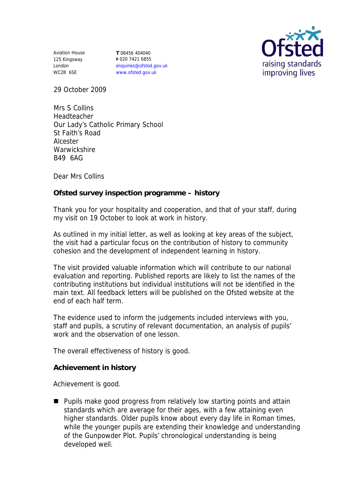Aviation House 125 Kingsway London WC2B 6SE

**T** 08456 404040 **F** 020 7421 6855 enquiries@ofsted.gov.uk www.ofsted.gov.uk



29 October 2009

Mrs S Collins Headteacher Our Lady's Catholic Primary School St Faith's Road Alcester Warwickshire B49 6AG

Dear Mrs Collins

**Ofsted survey inspection programme – history**

Thank you for your hospitality and cooperation, and that of your staff, during my visit on 19 October to look at work in history.

As outlined in my initial letter, as well as looking at key areas of the subject, the visit had a particular focus on the contribution of history to community cohesion and the development of independent learning in history.

The visit provided valuable information which will contribute to our national evaluation and reporting. Published reports are likely to list the names of the contributing institutions but individual institutions will not be identified in the main text. All feedback letters will be published on the Ofsted website at the end of each half term.

The evidence used to inform the judgements included interviews with you, staff and pupils, a scrutiny of relevant documentation, an analysis of pupils' work and the observation of one lesson.

The overall effectiveness of history is good.

**Achievement in history**

Achievement is good.

**Pupils make good progress from relatively low starting points and attain** standards which are average for their ages, with a few attaining even higher standards. Older pupils know about every day life in Roman times, while the younger pupils are extending their knowledge and understanding of the Gunpowder Plot. Pupils' chronological understanding is being developed well.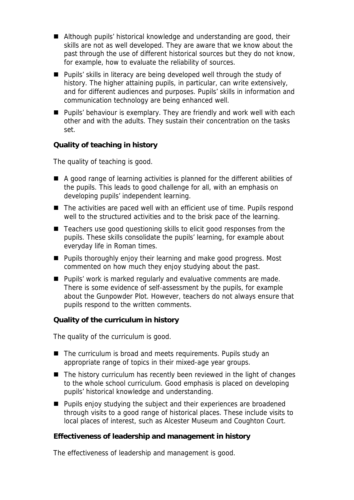- Although pupils' historical knowledge and understanding are good, their skills are not as well developed. They are aware that we know about the past through the use of different historical sources but they do not know, for example, how to evaluate the reliability of sources.
- **Pupils' skills in literacy are being developed well through the study of** history. The higher attaining pupils, in particular, can write extensively, and for different audiences and purposes. Pupils' skills in information and communication technology are being enhanced well.
- **Pupils' behaviour is exemplary. They are friendly and work well with each** other and with the adults. They sustain their concentration on the tasks set.

**Quality of teaching in history**

The quality of teaching is good.

- A good range of learning activities is planned for the different abilities of the pupils. This leads to good challenge for all, with an emphasis on developing pupils' independent learning.
- The activities are paced well with an efficient use of time. Pupils respond well to the structured activities and to the brisk pace of the learning.
- Teachers use good questioning skills to elicit good responses from the pupils. These skills consolidate the pupils' learning, for example about everyday life in Roman times.
- **Pupils thoroughly enjoy their learning and make good progress. Most** commented on how much they enjoy studying about the past.
- Pupils' work is marked regularly and evaluative comments are made. There is some evidence of self-assessment by the pupils, for example about the Gunpowder Plot. However, teachers do not always ensure that pupils respond to the written comments.

**Quality of the curriculum in history**

The quality of the curriculum is good.

- The curriculum is broad and meets requirements. Pupils study an appropriate range of topics in their mixed-age year groups.
- The history curriculum has recently been reviewed in the light of changes to the whole school curriculum. Good emphasis is placed on developing pupils' historical knowledge and understanding.
- **Pupils enjoy studying the subject and their experiences are broadened** through visits to a good range of historical places. These include visits to local places of interest, such as Alcester Museum and Coughton Court.

**Effectiveness of leadership and management in history**

The effectiveness of leadership and management is good.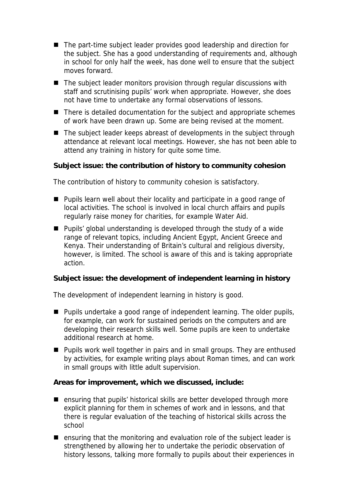- The part-time subject leader provides good leadership and direction for the subject. She has a good understanding of requirements and, although in school for only half the week, has done well to ensure that the subject moves forward.
- The subject leader monitors provision through regular discussions with staff and scrutinising pupils' work when appropriate. However, she does not have time to undertake any formal observations of lessons.
- There is detailed documentation for the subject and appropriate schemes of work have been drawn up. Some are being revised at the moment.
- The subject leader keeps abreast of developments in the subject through attendance at relevant local meetings. However, she has not been able to attend any training in history for quite some time.

**Subject issue: the contribution of history to community cohesion**

The contribution of history to community cohesion is satisfactory.

- Pupils learn well about their locality and participate in a good range of local activities. The school is involved in local church affairs and pupils regularly raise money for charities, for example Water Aid.
- Pupils' global understanding is developed through the study of a wide range of relevant topics, including Ancient Egypt, Ancient Greece and Kenya. Their understanding of Britain's cultural and religious diversity, however, is limited. The school is aware of this and is taking appropriate action.

**Subject issue: the development of independent learning in history**

The development of independent learning in history is good.

- **Pupils undertake a good range of independent learning. The older pupils,** for example, can work for sustained periods on the computers and are developing their research skills well. Some pupils are keen to undertake additional research at home.
- **Pupils work well together in pairs and in small groups. They are enthused** by activities, for example writing plays about Roman times, and can work in small groups with little adult supervision.

**Areas for improvement, which we discussed, include:**

- ensuring that pupils' historical skills are better developed through more explicit planning for them in schemes of work and in lessons, and that there is regular evaluation of the teaching of historical skills across the school
- ensuring that the monitoring and evaluation role of the subject leader is strengthened by allowing her to undertake the periodic observation of history lessons, talking more formally to pupils about their experiences in